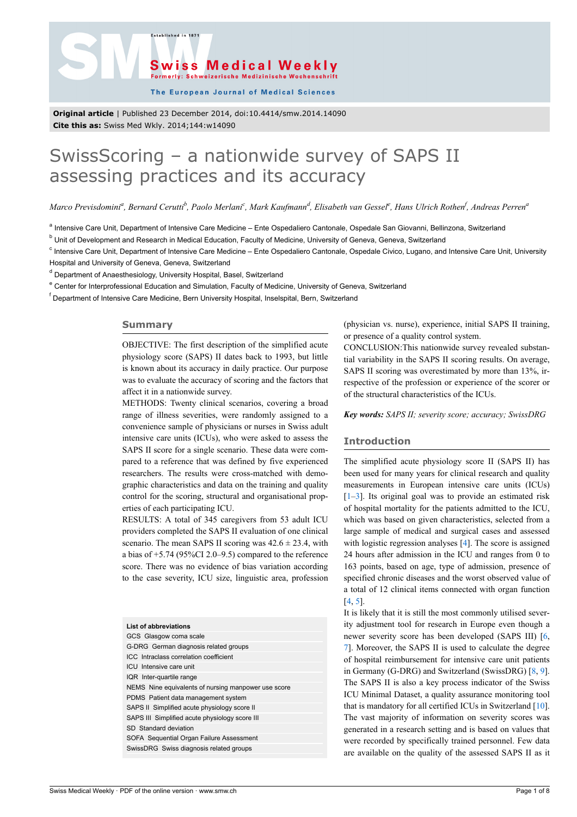.<br>Established in 187



The European Journal of Medical Sciences

**Original article** | Published 23 December 2014, doi:10.4414/smw.2014.14090 **Cite this as:** Swiss Med Wkly. 2014;144:w14090

# SwissScoring – a nationwide survey of SAPS II assessing practices and its accuracy

Marco Previsdomini<sup>a</sup>, Bernard Cerutti<sup>b</sup>, Paolo Merlani<sup>c</sup>, Mark Kaufmann<sup>d</sup>, Elisabeth van Gessel<sup>e</sup>, Hans Ulrich Rothen<sup>f</sup>, Andreas Perren<sup>a</sup>

<sup>a</sup> Intensive Care Unit, Department of Intensive Care Medicine – Ente Ospedaliero Cantonale, Ospedale San Giovanni, Bellinzona, Switzerland

<sup>b</sup> Unit of Development and Research in Medical Education, Faculty of Medicine, University of Geneva, Geneva, Switzerland

<sup>c</sup> Intensive Care Unit, Department of Intensive Care Medicine – Ente Ospedaliero Cantonale, Ospedale Civico, Lugano, and Intensive Care Unit, University Hospital and University of Geneva, Geneva, Switzerland

<sup>d</sup> Department of Anaesthesiology, University Hospital, Basel, Switzerland

<sup>e</sup> Center for Interprofessional Education and Simulation, Faculty of Medicine, University of Geneva, Switzerland

<sup>f</sup> Department of Intensive Care Medicine, Bern University Hospital, Inselspital, Bern, Switzerland

### **Summary**

OBJECTIVE: The first description of the simplified acute physiology score (SAPS) II dates back to 1993, but little is known about its accuracy in daily practice. Our purpose was to evaluate the accuracy of scoring and the factors that affect it in a nationwide survey.

METHODS: Twenty clinical scenarios, covering a broad range of illness severities, were randomly assigned to a convenience sample of physicians or nurses in Swiss adult intensive care units (ICUs), who were asked to assess the SAPS II score for a single scenario. These data were compared to a reference that was defined by five experienced researchers. The results were cross-matched with demographic characteristics and data on the training and quality control for the scoring, structural and organisational properties of each participating ICU.

RESULTS: A total of 345 caregivers from 53 adult ICU providers completed the SAPS II evaluation of one clinical scenario. The mean SAPS II scoring was  $42.6 \pm 23.4$ , with a bias of  $+5.74$  (95%CI 2.0–9.5) compared to the reference score. There was no evidence of bias variation according to the case severity, ICU size, linguistic area, profession

| <b>List of abbreviations</b>                        |
|-----------------------------------------------------|
| GCS Glasgow coma scale                              |
| G-DRG German diagnosis related groups               |
| ICC Intraclass correlation coefficient              |
| ICU Intensive care unit                             |
| IQR Inter-quartile range                            |
| NEMS Nine equivalents of nursing manpower use score |
| PDMS Patient data management system                 |
| SAPS II Simplified acute physiology score II        |
| SAPS III Simplified acute physiology score III      |
| SD Standard deviation                               |
| SOFA Sequential Organ Failure Assessment            |
| SwissDRG Swiss diagnosis related groups             |

(physician vs. nurse), experience, initial SAPS II training, or presence of a quality control system.

CONCLUSION:This nationwide survey revealed substantial variability in the SAPS II scoring results. On average, SAPS II scoring was overestimated by more than 13%, irrespective of the profession or experience of the scorer or of the structural characteristics of the ICUs.

*Key words: SAPS II; severity score; accuracy; SwissDRG*

## **Introduction**

The simplified acute physiology score II (SAPS II) has been used for many years for clinical research and quality measurements in European intensive care units (ICUs)  $[1-3]$  $[1-3]$  $[1-3]$  $[1-3]$  $[1-3]$ . Its original goal was to provide an estimated risk of hospital mortality for the patients admitted to the ICU, which was based on given characteristics, selected from a large sample of medical and surgical cases and assessed with logistic regression analyses [\[4\]](#page-5-2). The score is assigned 24 hours after admission in the ICU and ranges from 0 to 163 points, based on age, type of admission, presence of specified chronic diseases and the worst observed value of a total of 12 clinical items connected with organ function [[4](#page-5-2), [5](#page-5-3)].

It is likely that it is still the most commonly utilised severity adjustment tool for research in Europe even though a newer severity score has been developed (SAPS III) [\[6,](#page-5-4) [7](#page-5-5)]. Moreover, the SAPS II is used to calculate the degree of hospital reimbursement for intensive care unit patients in Germany (G-DRG) and Switzerland (SwissDRG) [\[8,](#page-5-6) [9\]](#page-5-7). The SAPS II is also a key process indicator of the Swiss ICU Minimal Dataset, a quality assurance monitoring tool that is mandatory for all certified ICUs in Switzerland [[10\]](#page-5-8). The vast majority of information on severity scores was generated in a research setting and is based on values that were recorded by specifically trained personnel. Few data are available on the quality of the assessed SAPS II as it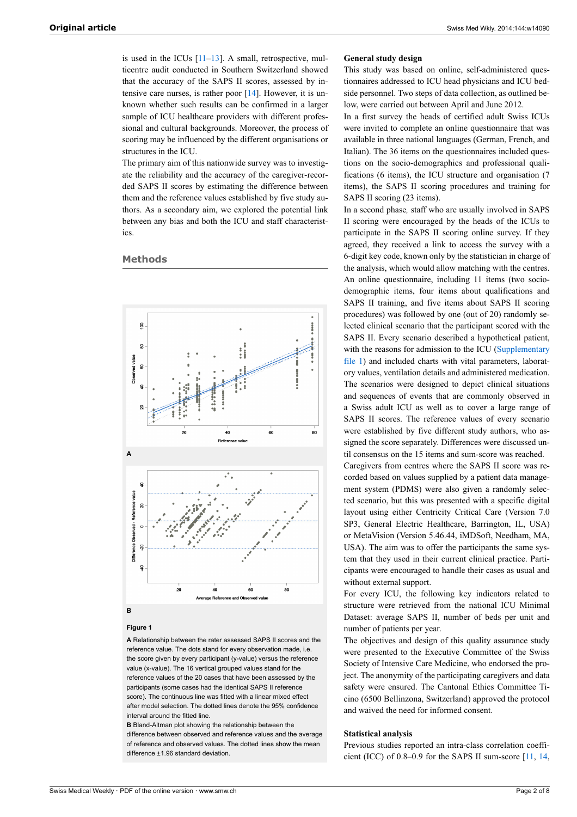is used in the ICUs  $[11-13]$  $[11-13]$  $[11-13]$ . A small, retrospective, multicentre audit conducted in Southern Switzerland showed that the accuracy of the SAPS II scores, assessed by intensive care nurses, is rather poor [\[14](#page-6-1)]. However, it is unknown whether such results can be confirmed in a larger sample of ICU healthcare providers with different professional and cultural backgrounds. Moreover, the process of scoring may be influenced by the different organisations or structures in the ICU.

The primary aim of this nationwide survey was to investigate the reliability and the accuracy of the caregiver-recorded SAPS II scores by estimating the difference between them and the reference values established by five study authors. As a secondary aim, we explored the potential link between any bias and both the ICU and staff characteristics.

## **Methods**



## **B**

#### **Figure 1**

**A** Relationship between the rater assessed SAPS II scores and the reference value. The dots stand for every observation made, i.e. the score given by every participant (y-value) versus the reference value (x-value). The 16 vertical grouped values stand for the reference values of the 20 cases that have been assessed by the participants (some cases had the identical SAPS II reference score). The continuous line was fitted with a linear mixed effect after model selection. The dotted lines denote the 95% confidence interval around the fitted line.

**B** Bland-Altman plot showing the relationship between the difference between observed and reference values and the average of reference and observed values. The dotted lines show the mean difference ±1.96 standard deviation.

## **General study design**

This study was based on online, self-administered questionnaires addressed to ICU head physicians and ICU bedside personnel. Two steps of data collection, as outlined below, were carried out between April and June 2012.

In a first survey the heads of certified adult Swiss ICUs were invited to complete an online questionnaire that was available in three national languages (German, French, and Italian). The 36 items on the questionnaires included questions on the socio-demographics and professional qualifications (6 items), the ICU structure and organisation (7 items), the SAPS II scoring procedures and training for SAPS II scoring (23 items).

In a second phase*,* staff who are usually involved in SAPS II scoring were encouraged by the heads of the ICUs to participate in the SAPS II scoring online survey. If they agreed, they received a link to access the survey with a 6-digit key code, known only by the statistician in charge of the analysis, which would allow matching with the centres. An online questionnaire, including 11 items (two sociodemographic items, four items about qualifications and SAPS II training, and five items about SAPS II scoring procedures) was followed by one (out of 20) randomly selected clinical scenario that the participant scored with the SAPS II. Every scenario described a hypothetical patient, with the reasons for admission to the ICU [\(Supplementary](http://www.smw.ch/content/SMW_14090_Supplementary_file_1.pdf) [file](http://www.smw.ch/content/SMW_14090_Supplementary_file_1.pdf) 1) and included charts with vital parameters, laboratory values, ventilation details and administered medication. The scenarios were designed to depict clinical situations and sequences of events that are commonly observed in a Swiss adult ICU as well as to cover a large range of SAPS II scores. The reference values of every scenario were established by five different study authors, who assigned the score separately. Differences were discussed until consensus on the 15 items and sum-score was reached. Caregivers from centres where the SAPS II score was re-

corded based on values supplied by a patient data management system (PDMS) were also given a randomly selected scenario, but this was presented with a specific digital layout using either Centricity Critical Care (Version 7.0 SP3, General Electric Healthcare, Barrington, IL, USA) or MetaVision (Version 5.46.44, iMDSoft, Needham, MA, USA). The aim was to offer the participants the same system that they used in their current clinical practice. Participants were encouraged to handle their cases as usual and without external support.

For every ICU, the following key indicators related to structure were retrieved from the national ICU Minimal Dataset: average SAPS II, number of beds per unit and number of patients per year.

The objectives and design of this quality assurance study were presented to the Executive Committee of the Swiss Society of Intensive Care Medicine, who endorsed the project. The anonymity of the participating caregivers and data safety were ensured. The Cantonal Ethics Committee Ticino (6500 Bellinzona, Switzerland) approved the protocol and waived the need for informed consent.

## **Statistical analysis**

Previous studies reported an intra-class correlation coefficient (ICC) of 0.8–0.9 for the SAPS II sum-score [[11,](#page-5-9) [14,](#page-6-1)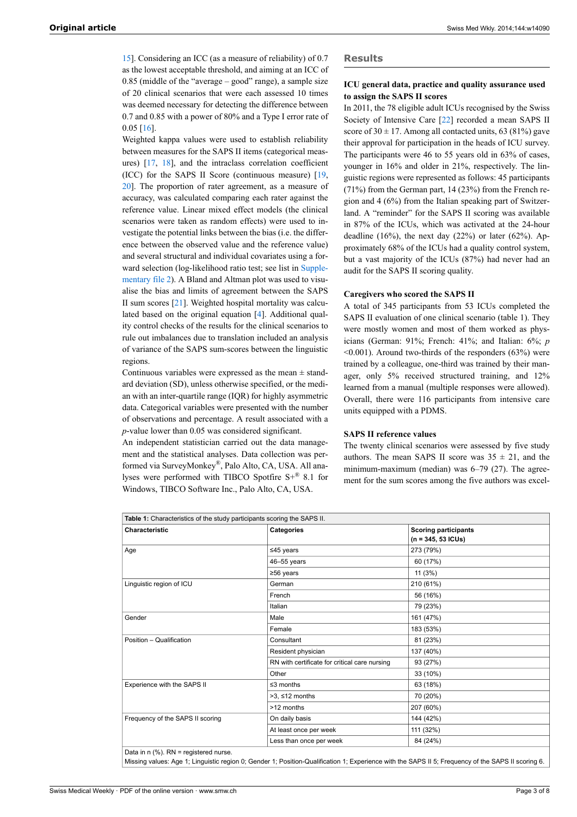[15](#page-6-2)]. Considering an ICC (as a measure of reliability) of 0.7 as the lowest acceptable threshold, and aiming at an ICC of 0.85 (middle of the "average – good" range), a sample size of 20 clinical scenarios that were each assessed 10 times was deemed necessary for detecting the difference between 0.7 and 0.85 with a power of 80% and a Type I error rate of 0.05 [\[16](#page-6-3)].

Weighted kappa values were used to establish reliability between measures for the SAPS II items (categorical measures) [\[17](#page-6-4), [18](#page-6-5)], and the intraclass correlation coefficient (ICC) for the SAPS II Score (continuous measure) [\[19](#page-6-6), [20](#page-6-7)]. The proportion of rater agreement, as a measure of accuracy, was calculated comparing each rater against the reference value. Linear mixed effect models (the clinical scenarios were taken as random effects) were used to investigate the potential links between the bias (i.e. the difference between the observed value and the reference value) and several structural and individual covariates using a forward selection (log-likelihood ratio test; see list in [Supple](http://www.smw.ch/content/SMW_14090_Supplementary_file_2.pdf)[mentary](http://www.smw.ch/content/SMW_14090_Supplementary_file_2.pdf) file 2). A Bland and Altman plot was used to visualise the bias and limits of agreement between the SAPS II sum scores [[21\]](#page-6-8). Weighted hospital mortality was calculated based on the original equation [\[4\]](#page-5-2). Additional quality control checks of the results for the clinical scenarios to rule out imbalances due to translation included an analysis of variance of the SAPS sum-scores between the linguistic regions.

Continuous variables were expressed as the mean  $\pm$  standard deviation (SD), unless otherwise specified, or the median with an inter-quartile range (IQR) for highly asymmetric data. Categorical variables were presented with the number of observations and percentage. A result associated with a *p*-value lower than 0.05 was considered significant.

An independent statistician carried out the data management and the statistical analyses. Data collection was performed via SurveyMonkey® , Palo Alto, CA, USA. All analyses were performed with TIBCO Spotfire S+® 8.1 for Windows, TIBCO Software Inc., Palo Alto, CA, USA.

#### **Results**

## **ICU general data, practice and quality assurance used to assign the SAPS II scores**

In 2011, the 78 eligible adult ICUs recognised by the Swiss Society of Intensive Care [[22\]](#page-6-9) recorded a mean SAPS II score of  $30 \pm 17$ . Among all contacted units, 63 (81%) gave their approval for participation in the heads of ICU survey. The participants were 46 to 55 years old in 63% of cases, younger in 16% and older in 21%, respectively. The linguistic regions were represented as follows: 45 participants (71%) from the German part, 14 (23%) from the French region and 4 (6%) from the Italian speaking part of Switzerland. A "reminder" for the SAPS II scoring was available in 87% of the ICUs, which was activated at the 24-hour deadline  $(16%)$ , the next day  $(22%)$  or later  $(62%)$ . Approximately 68% of the ICUs had a quality control system, but a vast majority of the ICUs (87%) had never had an audit for the SAPS II scoring quality.

#### **Caregivers who scored the SAPS II**

A total of 345 participants from 53 ICUs completed the SAPS II evaluation of one clinical scenario (table 1). They were mostly women and most of them worked as physicians (German: 91%; French: 41%; and Italian: 6%; *p*  $\leq 0.001$ ). Around two-thirds of the responders (63%) were trained by a colleague, one-third was trained by their manager, only 5% received structured training, and 12% learned from a manual (multiple responses were allowed). Overall, there were 116 participants from intensive care units equipped with a PDMS.

#### **SAPS II reference values**

The twenty clinical scenarios were assessed by five study authors. The mean SAPS II score was  $35 \pm 21$ , and the minimum-maximum (median) was 6–79 (27). The agreement for the sum scores among the five authors was excel-

| Table 1: Characteristics of the study participants scoring the SAPS II. |                                                                                                                                                    |                             |  |
|-------------------------------------------------------------------------|----------------------------------------------------------------------------------------------------------------------------------------------------|-----------------------------|--|
| Characteristic                                                          | Categories                                                                                                                                         | <b>Scoring participants</b> |  |
|                                                                         |                                                                                                                                                    | $(n = 345, 53$ ICUs)        |  |
| Age                                                                     | ≤45 years                                                                                                                                          | 273 (79%)                   |  |
|                                                                         | 46-55 years                                                                                                                                        | 60 (17%)                    |  |
|                                                                         | $≥56$ years                                                                                                                                        | 11(3%)                      |  |
| Linguistic region of ICU                                                | German                                                                                                                                             | 210 (61%)                   |  |
|                                                                         | French                                                                                                                                             | 56 (16%)                    |  |
|                                                                         | Italian                                                                                                                                            | 79 (23%)                    |  |
| Gender                                                                  | Male                                                                                                                                               | 161 (47%)                   |  |
|                                                                         | Female                                                                                                                                             | 183 (53%)                   |  |
| Position - Qualification                                                | Consultant                                                                                                                                         | 81 (23%)                    |  |
|                                                                         | Resident physician                                                                                                                                 | 137 (40%)                   |  |
|                                                                         | RN with certificate for critical care nursing                                                                                                      | 93 (27%)                    |  |
|                                                                         | Other                                                                                                                                              | 33 (10%)                    |  |
| Experience with the SAPS II                                             | $\leq$ 3 months                                                                                                                                    | 63 (18%)                    |  |
|                                                                         | $>3.512$ months                                                                                                                                    | 70 (20%)                    |  |
|                                                                         | >12 months                                                                                                                                         | 207 (60%)                   |  |
| Frequency of the SAPS II scoring                                        | On daily basis                                                                                                                                     | 144 (42%)                   |  |
|                                                                         | At least once per week                                                                                                                             | 111 (32%)                   |  |
|                                                                         | Less than once per week                                                                                                                            | 84 (24%)                    |  |
| Data in $n$ (%). RN = registered nurse.                                 |                                                                                                                                                    |                             |  |
|                                                                         | Missing values: Age 1; Linguistic region 0; Gender 1; Position-Qualification 1; Experience with the SAPS II 5; Frequency of the SAPS II scoring 6. |                             |  |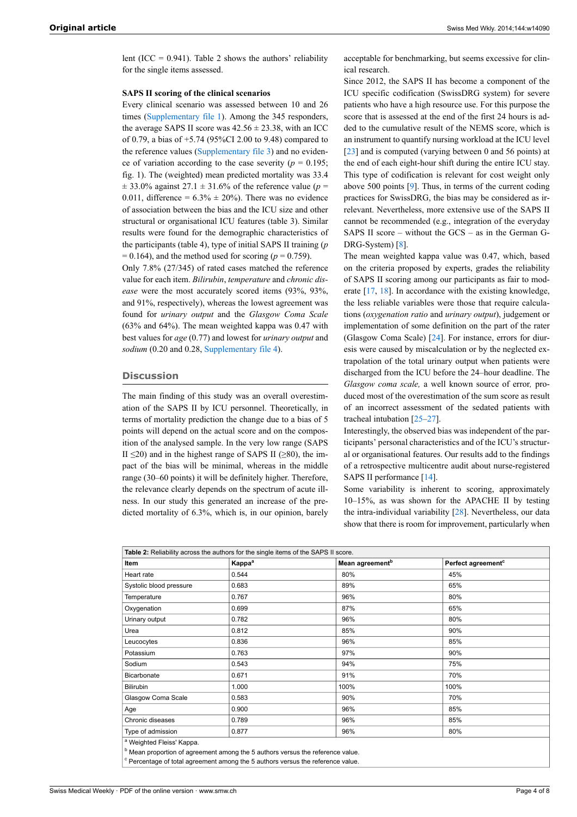lent (ICC =  $0.941$ ). Table 2 shows the authors' reliability for the single items assessed.

#### **SAPS II scoring of the clinical scenarios**

Every clinical scenario was assessed between 10 and 26 times ([Supplementary](http://www.smw.ch/content/SMW_14090_Supplementary_file_1.pdf) file 1). Among the 345 responders, the average SAPS II score was  $42.56 \pm 23.38$ , with an ICC of 0.79, a bias of +5.74 (95%CI 2.00 to 9.48) compared to the reference values ([Supplementary](http://www.smw.ch/content/SMW_14090_Supplementary_file_3.pdf) file 3) and no evidence of variation according to the case severity ( $p = 0.195$ ; fig. 1). The (weighted) mean predicted mortality was 33.4  $\pm$  33.0% against 27.1  $\pm$  31.6% of the reference value (*p* = 0.011, difference =  $6.3\% \pm 20\%$ ). There was no evidence of association between the bias and the ICU size and other structural or organisational ICU features (table 3). Similar results were found for the demographic characteristics of the participants (table 4), type of initial SAPS II training (*p*  $= 0.164$ ), and the method used for scoring ( $p = 0.759$ ).

Only 7.8% (27/345) of rated cases matched the reference value for each item. *Bilirubin*, *temperature* and *chronic disease* were the most accurately scored items (93%, 93%, and 91%, respectively), whereas the lowest agreement was found for *urinary output* and the *Glasgow Coma Scale* (63% and 64%). The mean weighted kappa was 0.47 with best values for *age* (0.77) and lowest for *urinary output* and *sodium* (0.20 and 0.28, [Supplementary file 4](http://www.smw.ch/content/SMW_14090_Supplementary_file_4.pdf)).

## **Discussion**

The main finding of this study was an overall overestimation of the SAPS II by ICU personnel. Theoretically, in terms of mortality prediction the change due to a bias of 5 points will depend on the actual score and on the composition of the analysed sample. In the very low range (SAPS II  $\leq$ 20) and in the highest range of SAPS II ( $\geq$ 80), the impact of the bias will be minimal, whereas in the middle range (30–60 points) it will be definitely higher. Therefore, the relevance clearly depends on the spectrum of acute illness. In our study this generated an increase of the predicted mortality of 6.3%, which is, in our opinion, barely

acceptable for benchmarking, but seems excessive for clinical research.

Since 2012, the SAPS II has become a component of the ICU specific codification (SwissDRG system) for severe patients who have a high resource use. For this purpose the score that is assessed at the end of the first 24 hours is added to the cumulative result of the NEMS score, which is an instrument to quantify nursing workload at the ICU level [[23\]](#page-6-0) and is computed (varying between 0 and 56 points) at the end of each eight-hour shift during the entire ICU stay. This type of codification is relevant for cost weight only above 500 points [[9](#page-5-7)]. Thus, in terms of the current coding practices for SwissDRG, the bias may be considered as irrelevant. Nevertheless, more extensive use of the SAPS II cannot be recommended (e.g., integration of the everyday SAPS II score – without the GCS – as in the German G-DRG-System) [\[8\]](#page-5-6).

The mean weighted kappa value was 0.47, which, based on the criteria proposed by experts, grades the reliability of SAPS II scoring among our participants as fair to moderate [[17,](#page-6-4) [18\]](#page-6-5). In accordance with the existing knowledge, the less reliable variables were those that require calculations (*oxygenation ratio* and *urinary output*), judgement or implementation of some definition on the part of the rater (Glasgow Coma Scale) [\[24](#page-6-1)]. For instance, errors for diuresis were caused by miscalculation or by the neglected extrapolation of the total urinary output when patients were discharged from the ICU before the 24–hour deadline. The *Glasgow coma scale,* a well known source of error*,* produced most of the overestimation of the sum score as result of an incorrect assessment of the sedated patients with tracheal intubation [[25](#page-6-2)–[27\]](#page-6-10).

Interestingly, the observed bias was independent of the participants' personal characteristics and of the ICU's structural or organisational features. Our results add to the findings of a retrospective multicentre audit about nurse-registered SAPS II performance [\[14](#page-6-1)].

Some variability is inherent to scoring, approximately 10–15%, as was shown for the APACHE II by testing the intra-individual variability [\[28](#page-6-5)]. Nevertheless, our data show that there is room for improvement, particularly when

| Table 2: Reliability across the authors for the single items of the SAPS II score. |                    |                             |                                |  |  |
|------------------------------------------------------------------------------------|--------------------|-----------------------------|--------------------------------|--|--|
| Item                                                                               | Kappa <sup>a</sup> | Mean agreement <sup>b</sup> | Perfect agreement <sup>c</sup> |  |  |
| Heart rate                                                                         | 0.544              | 80%                         | 45%                            |  |  |
| Systolic blood pressure                                                            | 0.683              | 89%                         | 65%                            |  |  |
| Temperature                                                                        | 0.767              | 96%                         | 80%                            |  |  |
| Oxygenation                                                                        | 0.699              | 87%                         | 65%                            |  |  |
| Urinary output                                                                     | 0.782              | 96%                         | 80%                            |  |  |
| Urea                                                                               | 0.812              | 85%                         | 90%                            |  |  |
| Leucocytes                                                                         | 0.836              | 96%                         | 85%                            |  |  |
| Potassium                                                                          | 0.763              | 97%                         | 90%                            |  |  |
| Sodium                                                                             | 0.543              | 94%                         | 75%                            |  |  |
| Bicarbonate                                                                        | 0.671              | 91%                         | 70%                            |  |  |
| Bilirubin                                                                          | 1.000              | 100%                        | 100%                           |  |  |
| Glasgow Coma Scale                                                                 | 0.583              | 90%                         | 70%                            |  |  |
| Age                                                                                | 0.900              | 96%                         | 85%                            |  |  |
| Chronic diseases                                                                   | 0.789              | 96%                         | 85%                            |  |  |
| Type of admission                                                                  | 0.877              | 96%                         | 80%                            |  |  |
| <sup>a</sup> Weighted Fleiss' Kappa.                                               |                    |                             |                                |  |  |

<sup>b</sup> Mean proportion of agreement among the 5 authors versus the reference value.

 $\textdegree$  Percentage of total agreement among the 5 authors versus the reference value.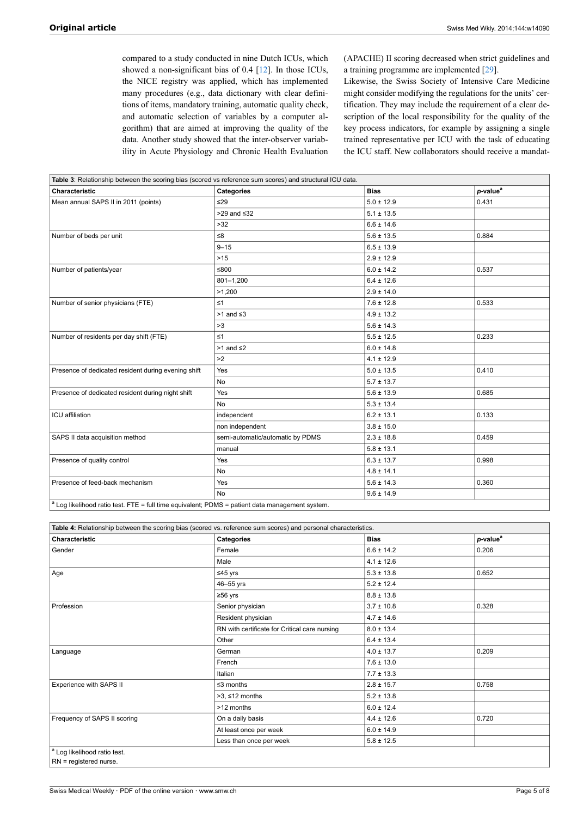compared to a study conducted in nine Dutch ICUs, which showed a non-significant bias of 0.4 [\[12](#page-5-10)]. In those ICUs, the NICE registry was applied, which has implemented many procedures (e.g., data dictionary with clear definitions of items, mandatory training, automatic quality check, and automatic selection of variables by a computer algorithm) that are aimed at improving the quality of the data. Another study showed that the inter-observer variability in Acute Physiology and Chronic Health Evaluation (APACHE) II scoring decreased when strict guidelines and a training programme are implemented [\[29](#page-6-11)].

Likewise, the Swiss Society of Intensive Care Medicine might consider modifying the regulations for the units' certification. They may include the requirement of a clear description of the local responsibility for the quality of the key process indicators, for example by assigning a single trained representative per ICU with the task of educating the ICU staff. New collaborators should receive a mandat-

| Characteristic                                      | Categories                       | <b>Bias</b>    | p-value <sup>a</sup> |
|-----------------------------------------------------|----------------------------------|----------------|----------------------|
| Mean annual SAPS II in 2011 (points)                | ≤29                              | $5.0 \pm 12.9$ | 0.431                |
|                                                     | $>29$ and $\leq 32$              | $5.1 \pm 13.5$ |                      |
|                                                     | $>32$                            | $6.6 \pm 14.6$ |                      |
| Number of beds per unit                             | $\leq 8$                         | $5.6 \pm 13.5$ | 0.884                |
|                                                     | $9 - 15$                         | $6.5 \pm 13.9$ |                      |
|                                                     | $>15$                            | $2.9 \pm 12.9$ |                      |
| Number of patients/year                             | ≤800                             | $6.0 \pm 14.2$ | 0.537                |
|                                                     | $801 - 1.200$                    | $6.4 \pm 12.6$ |                      |
|                                                     | >1.200                           | $2.9 \pm 14.0$ |                      |
| Number of senior physicians (FTE)                   | $\leq 1$                         | $7.6 \pm 12.8$ | 0.533                |
|                                                     | $>1$ and $\leq 3$                | $4.9 \pm 13.2$ |                      |
|                                                     | >3                               | $5.6 \pm 14.3$ |                      |
| Number of residents per day shift (FTE)             | $\leq 1$                         | $5.5 \pm 12.5$ | 0.233                |
|                                                     | $>1$ and $\leq 2$                | $6.0 \pm 14.8$ |                      |
|                                                     | >2                               | $4.1 \pm 12.9$ |                      |
| Presence of dedicated resident during evening shift | Yes                              | $5.0 \pm 13.5$ | 0.410                |
|                                                     | <b>No</b>                        | $5.7 \pm 13.7$ |                      |
| Presence of dedicated resident during night shift   | Yes                              | $5.6 \pm 13.9$ | 0.685                |
|                                                     | <b>No</b>                        | $5.3 \pm 13.4$ |                      |
| <b>ICU</b> affiliation                              | independent                      | $6.2 \pm 13.1$ | 0.133                |
|                                                     | non independent                  | $3.8 \pm 15.0$ |                      |
| SAPS II data acquisition method                     | semi-automatic/automatic by PDMS | $2.3 \pm 18.8$ | 0.459                |
|                                                     | manual                           | $5.8 \pm 13.1$ |                      |
| Presence of quality control                         | Yes                              | $6.3 \pm 13.7$ | 0.998                |
|                                                     | <b>No</b>                        | $4.8 \pm 14.1$ |                      |
| Presence of feed-back mechanism                     | Yes                              | $5.6 \pm 14.3$ | 0.360                |
|                                                     | <b>No</b>                        | $9.6 \pm 14.9$ |                      |

Log likelihood ratio test. FTE = full time equivalent; PDMS = patient data management system.

| Table 4: Relationship between the scoring bias (scored vs. reference sum scores) and personal characteristics. |                                               |                |                      |  |
|----------------------------------------------------------------------------------------------------------------|-----------------------------------------------|----------------|----------------------|--|
| Characteristic                                                                                                 | Categories                                    | <b>Bias</b>    | p-value <sup>a</sup> |  |
| Gender                                                                                                         | Female                                        | $6.6 \pm 14.2$ | 0.206                |  |
|                                                                                                                | Male                                          | $4.1 \pm 12.6$ |                      |  |
| Age                                                                                                            | ≤45 yrs                                       | $5.3 \pm 13.8$ | 0.652                |  |
|                                                                                                                | 46-55 yrs                                     | $5.2 \pm 12.4$ |                      |  |
|                                                                                                                | $≥56$ yrs                                     | $8.8 \pm 13.8$ |                      |  |
| Profession                                                                                                     | Senior physician                              | $3.7 \pm 10.8$ | 0.328                |  |
|                                                                                                                | Resident physician                            | $4.7 \pm 14.6$ |                      |  |
|                                                                                                                | RN with certificate for Critical care nursing | $8.0 \pm 13.4$ |                      |  |
|                                                                                                                | Other                                         | $6.4 \pm 13.4$ |                      |  |
| Language                                                                                                       | German                                        | $4.0 \pm 13.7$ | 0.209                |  |
|                                                                                                                | French                                        | $7.6 \pm 13.0$ |                      |  |
|                                                                                                                | Italian                                       | $7.7 \pm 13.3$ |                      |  |
| Experience with SAPS II                                                                                        | $\leq$ 3 months                               | $2.8 \pm 15.7$ | 0.758                |  |
|                                                                                                                | $>3$ , $\leq 12$ months                       | $5.2 \pm 13.8$ |                      |  |
|                                                                                                                | >12 months                                    | $6.0 \pm 12.4$ |                      |  |
| Frequency of SAPS II scoring                                                                                   | On a daily basis                              | $4.4 \pm 12.6$ | 0.720                |  |
|                                                                                                                | At least once per week                        | $6.0 \pm 14.9$ |                      |  |
|                                                                                                                | Less than once per week                       | $5.8 \pm 12.5$ |                      |  |
| <sup>a</sup> Log likelihood ratio test.                                                                        |                                               |                |                      |  |

RN = registered nurse.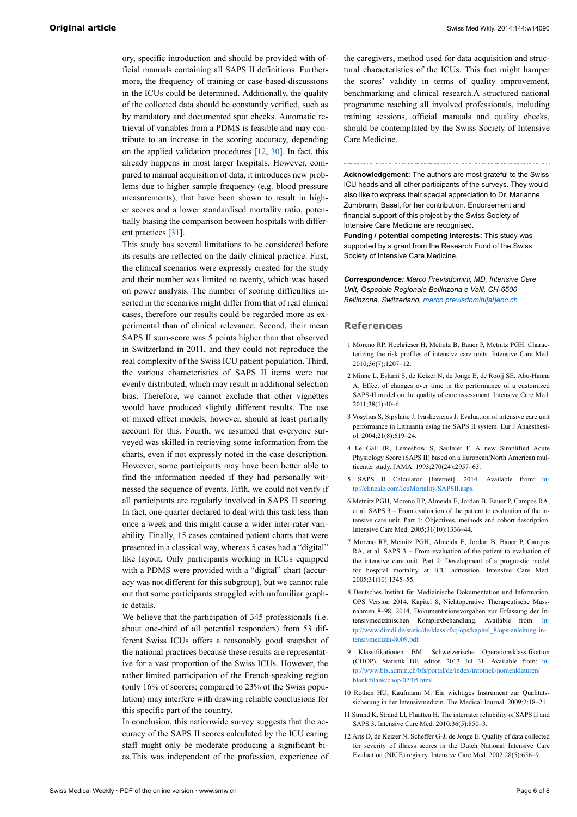ory, specific introduction and should be provided with official manuals containing all SAPS II definitions. Furthermore, the frequency of training or case-based-discussions in the ICUs could be determined. Additionally, the quality of the collected data should be constantly verified, such as by mandatory and documented spot checks. Automatic retrieval of variables from a PDMS is feasible and may contribute to an increase in the scoring accuracy, depending on the applied validation procedures [\[12](#page-5-10), [30](#page-6-12)]. In fact, this already happens in most larger hospitals. However, compared to manual acquisition of data, it introduces new problems due to higher sample frequency (e.g. blood pressure measurements), that have been shown to result in higher scores and a lower standardised mortality ratio, potentially biasing the comparison between hospitals with different practices [\[31](#page-6-13)].

<span id="page-5-1"></span><span id="page-5-0"></span>This study has several limitations to be considered before its results are reflected on the daily clinical practice. First, the clinical scenarios were expressly created for the study and their number was limited to twenty, which was based on power analysis. The number of scoring difficulties inserted in the scenarios might differ from that of real clinical cases, therefore our results could be regarded more as experimental than of clinical relevance. Second, their mean SAPS II sum-score was 5 points higher than that observed in Switzerland in 2011, and they could not reproduce the real complexity of the Swiss ICU patient population. Third, the various characteristics of SAPS II items were not evenly distributed, which may result in additional selection bias. Therefore, we cannot exclude that other vignettes would have produced slightly different results. The use of mixed effect models, however, should at least partially account for this. Fourth, we assumed that everyone surveyed was skilled in retrieving some information from the charts, even if not expressly noted in the case description. However, some participants may have been better able to find the information needed if they had personally witnessed the sequence of events. Fifth, we could not verify if all participants are regularly involved in SAPS II scoring. In fact, one-quarter declared to deal with this task less than once a week and this might cause a wider inter-rater variability. Finally, 15 cases contained patient charts that were presented in a classical way, whereas 5 cases had a "digital" like layout. Only participants working in ICUs equipped with a PDMS were provided with a "digital" chart (accuracy was not different for this subgroup), but we cannot rule out that some participants struggled with unfamiliar graphic details.

<span id="page-5-7"></span><span id="page-5-6"></span><span id="page-5-5"></span><span id="page-5-4"></span><span id="page-5-3"></span><span id="page-5-2"></span>We believe that the participation of 345 professionals (i.e. about one-third of all potential responders) from 53 different Swiss ICUs offers a reasonably good snapshot of the national practices because these results are representative for a vast proportion of the Swiss ICUs. However, the rather limited participation of the French-speaking region (only 16% of scorers; compared to 23% of the Swiss population) may interfere with drawing reliable conclusions for this specific part of the country.

<span id="page-5-10"></span><span id="page-5-9"></span><span id="page-5-8"></span>In conclusion, this nationwide survey suggests that the accuracy of the SAPS II scores calculated by the ICU caring staff might only be moderate producing a significant bias.This was independent of the profession, experience of

the caregivers, method used for data acquisition and structural characteristics of the ICUs. This fact might hamper the scores' validity in terms of quality improvement, benchmarking and clinical research.A structured national programme reaching all involved professionals, including training sessions, official manuals and quality checks, should be contemplated by the Swiss Society of Intensive Care Medicine.

**Acknowledgement:** The authors are most grateful to the Swiss ICU heads and all other participants of the surveys. They would also like to express their special appreciation to Dr. Marianne Zumbrunn, Basel, for her contribution. Endorsement and financial support of this project by the Swiss Society of Intensive Care Medicine are recognised.

**Funding / potential competing interests:** This study was supported by a grant from the Research Fund of the Swiss Society of Intensive Care Medicine.

*Correspondence: Marco Previsdomini, MD, Intensive Care Unit, Ospedale Regionale Bellinzona e Valli, CH-6500 Bellinzona, Switzerland, [marco.previsdomini\[at\]eoc.ch](mailto:marco.previsdomini@eoc.ch)*

#### **References**

- 1 Moreno RP, Hochrieser H, Metnitz B, Bauer P, Metnitz PGH. Characterizing the risk profiles of intensive care units. Intensive Care Med. 2010;36(7):1207–12.
- 2 Minne L, Eslami S, de Keizer N, de Jonge E, de Rooij SE, Abu-Hanna A. Effect of changes over time in the performance of a customized SAPS-II model on the quality of care assessment. Intensive Care Med. 2011;38(1):40–6.
- 3 Vosylius S, Sipylaite J, Ivaskevicius J. Evaluation of intensive care unit performance in Lithuania using the SAPS II system. Eur J Anaesthesiol. 2004;21(8):619–24.
- 4 Le Gall JR, Lemeshow S, Saulnier F. A new Simplified Acute Physiology Score (SAPS II) based on a European/North American multicenter study. JAMA. 1993;270(24):2957–63.
- 5 SAPS II Calculator [Internet]. 2014. Available from: [ht](http://clincalc.com/IcuMortality/SAPSII.aspx)[tp://clincalc.com/IcuMortality/SAPSII.aspx](http://clincalc.com/IcuMortality/SAPSII.aspx)
- 6 Metnitz PGH, Moreno RP, Almeida E, Jordan B, Bauer P, Campos RA, et al. SAPS 3 – From evaluation of the patient to evaluation of the intensive care unit. Part 1: Objectives, methods and cohort description. Intensive Care Med. 2005;31(10):1336–44.
- 7 Moreno RP, Metnitz PGH, Almeida E, Jordan B, Bauer P, Campos RA, et al. SAPS 3 – From evaluation of the patient to evaluation of the intensive care unit. Part 2: Development of a prognostic model for hospital mortality at ICU admission. Intensive Care Med. 2005;31(10):1345–55.
- 8 Deutsches Institut für Medizinische Dokumentation und Information, OPS Version 2014, Kapitel 8, Nichtoperative Therapeutische Massnahmen 8–98, 2014, Dokumentationsvorgaben zur Erfassung der Intensivmedizinischen Komplexbehandlung. Available from: [tp://www.dimdi.de/static/de/klassi/faq/ops/kapitel\\_8/ops-anleitung-in](http://www.dimdi.de/static/de/klassi/faq/ops/kapitel_8/ops-anleitung-intensivmedizin-8009.pdf)[tensivmedizin-8009.pdf](http://www.dimdi.de/static/de/klassi/faq/ops/kapitel_8/ops-anleitung-intensivmedizin-8009.pdf)
- 9 Klassifikationen BM. Schweizerische Operationsklassifikation (CHOP). Statistik BF, editor. 2013 Jul 31. Available from: [ht](http://www.bfs.admin.ch/bfs/portal/de/index/infothek/nomenklaturen/blank/blank/chop/02/05.html)[tp://www.bfs.admin.ch/bfs/portal/de/index/infothek/nomenklaturen/](http://www.bfs.admin.ch/bfs/portal/de/index/infothek/nomenklaturen/blank/blank/chop/02/05.html) [blank/blank/chop/02/05.html](http://www.bfs.admin.ch/bfs/portal/de/index/infothek/nomenklaturen/blank/blank/chop/02/05.html)
- 10 Rothen HU, Kaufmann M. Ein wichtiges Instrument zur Qualitätssicherung in der Intensivmedizin. The Medical Journal. 2009;2:18–21.
- 11 Strand K, Strand LI, Flaatten H. The interrater reliability of SAPS II and SAPS 3. Intensive Care Med. 2010;36(5):850–3.
- 12 Arts D, de Keizer N, Scheffer G-J, de Jonge E. Quality of data collected for severity of illness scores in the Dutch National Intensive Care Evaluation (NICE) registry. Intensive Care Med. 2002;28(5):656–9.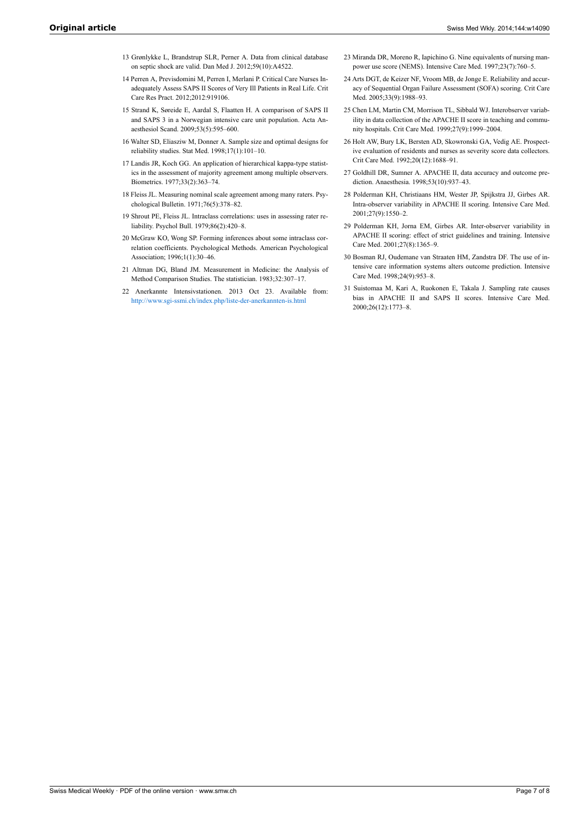- <span id="page-6-0"></span>13 Grønlykke L, Brandstrup SLR, Perner A. Data from clinical database on septic shock are valid. Dan Med J. 2012;59(10):A4522.
- <span id="page-6-1"></span>14 Perren A, Previsdomini M, Perren I, Merlani P. Critical Care Nurses Inadequately Assess SAPS II Scores of Very Ill Patients in Real Life. Crit Care Res Pract. 2012;2012:919106.
- <span id="page-6-2"></span>15 Strand K, Søreide E, Aardal S, Flaatten H. A comparison of SAPS II and SAPS 3 in a Norwegian intensive care unit population. Acta Anaesthesiol Scand. 2009;53(5):595–600.
- <span id="page-6-3"></span>16 Walter SD, Eliasziw M, Donner A. Sample size and optimal designs for reliability studies. Stat Med. 1998;17(1):101–10.
- <span id="page-6-10"></span><span id="page-6-4"></span>17 Landis JR, Koch GG. An application of hierarchical kappa-type statistics in the assessment of majority agreement among multiple observers. Biometrics. 1977;33(2):363–74.
- <span id="page-6-5"></span>18 Fleiss JL. Measuring nominal scale agreement among many raters. Psychological Bulletin. 1971;76(5):378–82.
- <span id="page-6-11"></span><span id="page-6-6"></span>19 Shrout PE, Fleiss JL. Intraclass correlations: uses in assessing rater reliability. Psychol Bull. 1979;86(2):420–8.
- <span id="page-6-7"></span>20 McGraw KO, Wong SP. Forming inferences about some intraclass correlation coefficients. Psychological Methods. American Psychological Association; 1996;1(1):30–46.
- <span id="page-6-12"></span><span id="page-6-8"></span>21 Altman DG, Bland JM. Measurement in Medicine: the Analysis of Method Comparison Studies. The statistician. 1983;32:307–17.
- <span id="page-6-13"></span><span id="page-6-9"></span>22 Anerkannte Intensivstationen. 2013 Oct 23. Available from: <http://www.sgi-ssmi.ch/index.php/liste-der-anerkannten-is.html>
- 23 Miranda DR, Moreno R, Iapichino G. Nine equivalents of nursing manpower use score (NEMS). Intensive Care Med. 1997;23(7):760–5.
- 24 Arts DGT, de Keizer NF, Vroom MB, de Jonge E. Reliability and accuracy of Sequential Organ Failure Assessment (SOFA) scoring. Crit Care Med. 2005;33(9):1988–93.
- 25 Chen LM, Martin CM, Morrison TL, Sibbald WJ. Interobserver variability in data collection of the APACHE II score in teaching and community hospitals. Crit Care Med. 1999;27(9):1999–2004.
- 26 Holt AW, Bury LK, Bersten AD, Skowronski GA, Vedig AE. Prospective evaluation of residents and nurses as severity score data collectors. Crit Care Med. 1992;20(12):1688–91.
- 27 Goldhill DR, Sumner A. APACHE II, data accuracy and outcome prediction. Anaesthesia. 1998;53(10):937–43.
- 28 Polderman KH, Christiaans HM, Wester JP, Spijkstra JJ, Girbes AR. Intra-observer variability in APACHE II scoring. Intensive Care Med. 2001;27(9):1550–2.
- 29 Polderman KH, Jorna EM, Girbes AR. Inter-observer variability in APACHE II scoring: effect of strict guidelines and training. Intensive Care Med. 2001;27(8):1365–9.
- 30 Bosman RJ, Oudemane van Straaten HM, Zandstra DF. The use of intensive care information systems alters outcome prediction. Intensive Care Med. 1998;24(9):953–8.
- 31 Suistomaa M, Kari A, Ruokonen E, Takala J. Sampling rate causes bias in APACHE II and SAPS II scores. Intensive Care Med. 2000;26(12):1773–8.